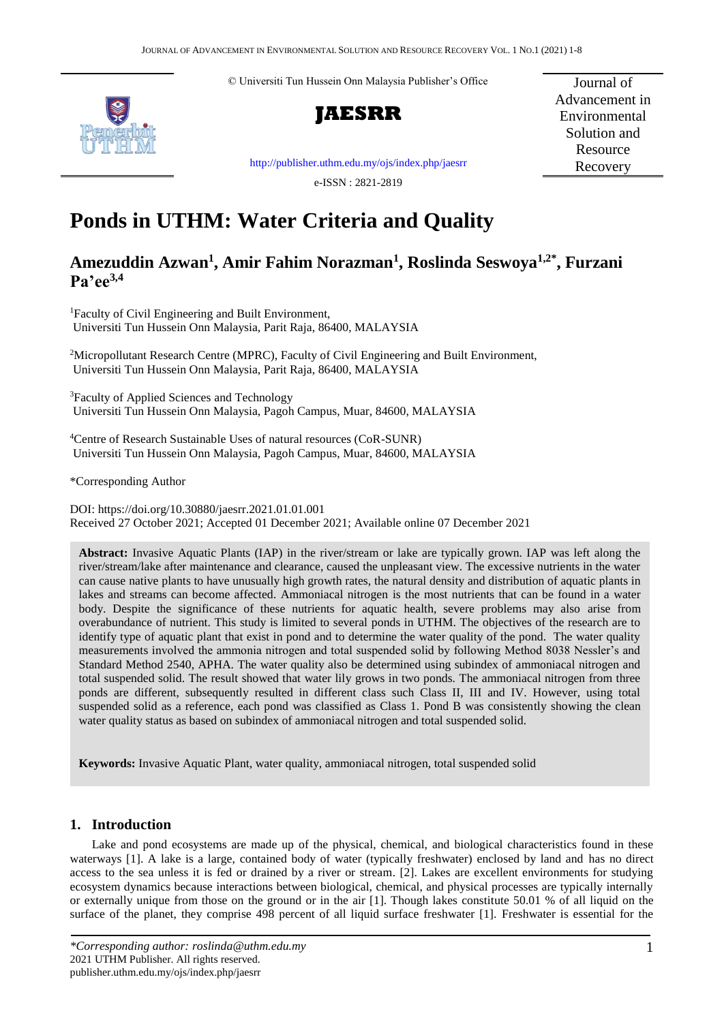© Universiti Tun Hussein Onn Malaysia Publisher's Office





Journal of Advancement in Environmental Solution and Resource Recovery

[http://publisher.uthm.edu.my/ojs/index.php/jaesrr](http://publisher.uthm.edu.my/ojs/index.php/paat)

e-ISSN : 2821-2819

# **Ponds in UTHM: Water Criteria and Quality**

# **Amezuddin Azwan<sup>1</sup> , Amir Fahim Norazman<sup>1</sup> , Roslinda Seswoya1,2\* , Furzani Pa'ee3,4**

<sup>1</sup>Faculty of Civil Engineering and Built Environment, Universiti Tun Hussein Onn Malaysia, Parit Raja, 86400, MALAYSIA

<sup>2</sup>Micropollutant Research Centre (MPRC), Faculty of Civil Engineering and Built Environment, Universiti Tun Hussein Onn Malaysia, Parit Raja, 86400, MALAYSIA

<sup>3</sup>Faculty of Applied Sciences and Technology Universiti Tun Hussein Onn Malaysia, Pagoh Campus, Muar, 84600, MALAYSIA

<sup>4</sup>Centre of Research Sustainable Uses of natural resources (CoR-SUNR) Universiti Tun Hussein Onn Malaysia, Pagoh Campus, Muar, 84600, MALAYSIA

\*Corresponding Author

DOI: https://doi.org/10.30880/jaesrr.2021.01.01.001 Received 27 October 2021; Accepted 01 December 2021; Available online 07 December 2021

**Abstract:** Invasive Aquatic Plants (IAP) in the river/stream or lake are typically grown. IAP was left along the river/stream/lake after maintenance and clearance, caused the unpleasant view. The excessive nutrients in the water can cause native plants to have unusually high growth rates, the natural density and distribution of aquatic plants in lakes and streams can become affected. Ammoniacal nitrogen is the most nutrients that can be found in a water body. Despite the significance of these nutrients for aquatic health, severe problems may also arise from overabundance of nutrient. This study is limited to several ponds in UTHM. The objectives of the research are to identify type of aquatic plant that exist in pond and to determine the water quality of the pond. The water quality measurements involved the ammonia nitrogen and total suspended solid by following Method 8038 Nessler's and Standard Method 2540, APHA. The water quality also be determined using subindex of ammoniacal nitrogen and total suspended solid. The result showed that water lily grows in two ponds. The ammoniacal nitrogen from three ponds are different, subsequently resulted in different class such Class II, III and IV. However, using total suspended solid as a reference, each pond was classified as Class 1. Pond B was consistently showing the clean water quality status as based on subindex of ammoniacal nitrogen and total suspended solid.

**Keywords:** Invasive Aquatic Plant, water quality, ammoniacal nitrogen, total suspended solid

# **1. Introduction**

Lake and pond ecosystems are made up of the physical, chemical, and biological characteristics found in these waterways [1]. A lake is a large, contained body of water (typically freshwater) enclosed by land and has no direct access to the sea unless it is fed or drained by a river or stream. [2]. Lakes are excellent environments for studying ecosystem dynamics because interactions between biological, chemical, and physical processes are typically internally or externally unique from those on the ground or in the air [1]. Though lakes constitute 50.01 % of all liquid on the surface of the planet, they comprise 498 percent of all liquid surface freshwater [1]. Freshwater is essential for the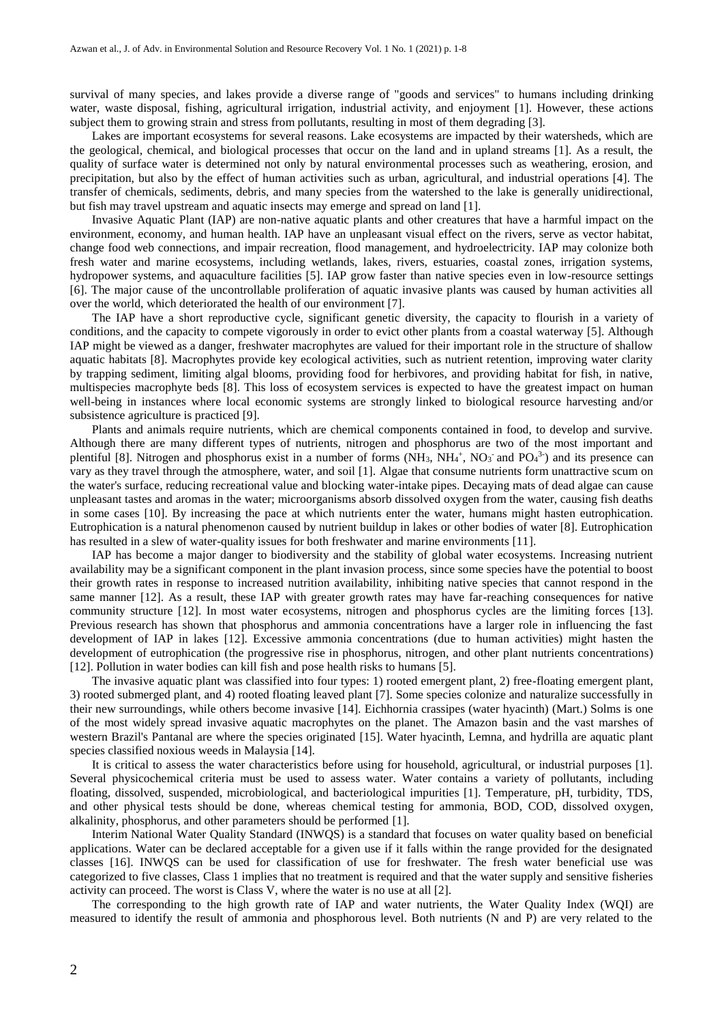survival of many species, and lakes provide a diverse range of "goods and services" to humans including drinking water, waste disposal, fishing, agricultural irrigation, industrial activity, and enjoyment [1]. However, these actions subject them to growing strain and stress from pollutants, resulting in most of them degrading [3].

Lakes are important ecosystems for several reasons. Lake ecosystems are impacted by their watersheds, which are the geological, chemical, and biological processes that occur on the land and in upland streams [1]. As a result, the quality of surface water is determined not only by natural environmental processes such as weathering, erosion, and precipitation, but also by the effect of human activities such as urban, agricultural, and industrial operations [4]. The transfer of chemicals, sediments, debris, and many species from the watershed to the lake is generally unidirectional, but fish may travel upstream and aquatic insects may emerge and spread on land [1].

Invasive Aquatic Plant (IAP) are non-native aquatic plants and other creatures that have a harmful impact on the environment, economy, and human health. IAP have an unpleasant visual effect on the rivers, serve as vector habitat, change food web connections, and impair recreation, flood management, and hydroelectricity. IAP may colonize both fresh water and marine ecosystems, including wetlands, lakes, rivers, estuaries, coastal zones, irrigation systems, hydropower systems, and aquaculture facilities [5]. IAP grow faster than native species even in low-resource settings [6]. The major cause of the uncontrollable proliferation of aquatic invasive plants was caused by human activities all over the world, which deteriorated the health of our environment [7].

The IAP have a short reproductive cycle, significant genetic diversity, the capacity to flourish in a variety of conditions, and the capacity to compete vigorously in order to evict other plants from a coastal waterway [5]. Although IAP might be viewed as a danger, freshwater macrophytes are valued for their important role in the structure of shallow aquatic habitats [8]. Macrophytes provide key ecological activities, such as nutrient retention, improving water clarity by trapping sediment, limiting algal blooms, providing food for herbivores, and providing habitat for fish, in native, multispecies macrophyte beds [8]. This loss of ecosystem services is expected to have the greatest impact on human well-being in instances where local economic systems are strongly linked to biological resource harvesting and/or subsistence agriculture is practiced [9].

Plants and animals require nutrients, which are chemical components contained in food, to develop and survive. Although there are many different types of nutrients, nitrogen and phosphorus are two of the most important and plentiful [8]. Nitrogen and phosphorus exist in a number of forms  $(NH_3, NH_4^+$ ,  $NO_3^-$  and  $PO_4^3$ -) and its presence can vary as they travel through the atmosphere, water, and soil [1]. Algae that consume nutrients form unattractive scum on the water's surface, reducing recreational value and blocking water-intake pipes. Decaying mats of dead algae can cause unpleasant tastes and aromas in the water; microorganisms absorb dissolved oxygen from the water, causing fish deaths in some cases [10]. By increasing the pace at which nutrients enter the water, humans might hasten eutrophication. Eutrophication is a natural phenomenon caused by nutrient buildup in lakes or other bodies of water [8]. Eutrophication has resulted in a slew of water-quality issues for both freshwater and marine environments [11].

IAP has become a major danger to biodiversity and the stability of global water ecosystems. Increasing nutrient availability may be a significant component in the plant invasion process, since some species have the potential to boost their growth rates in response to increased nutrition availability, inhibiting native species that cannot respond in the same manner [12]. As a result, these IAP with greater growth rates may have far-reaching consequences for native community structure [12]. In most water ecosystems, nitrogen and phosphorus cycles are the limiting forces [13]. Previous research has shown that phosphorus and ammonia concentrations have a larger role in influencing the fast development of IAP in lakes [12]. Excessive ammonia concentrations (due to human activities) might hasten the development of eutrophication (the progressive rise in phosphorus, nitrogen, and other plant nutrients concentrations) [12]. Pollution in water bodies can kill fish and pose health risks to humans [5].

The invasive aquatic plant was classified into four types: 1) rooted emergent plant, 2) free-floating emergent plant, 3) rooted submerged plant, and 4) rooted floating leaved plant [7]. Some species colonize and naturalize successfully in their new surroundings, while others become invasive [14]. Eichhornia crassipes (water hyacinth) (Mart.) Solms is one of the most widely spread invasive aquatic macrophytes on the planet. The Amazon basin and the vast marshes of western Brazil's Pantanal are where the species originated [15]. Water hyacinth, Lemna, and hydrilla are aquatic plant species classified noxious weeds in Malaysia [14].

It is critical to assess the water characteristics before using for household, agricultural, or industrial purposes [1]. Several physicochemical criteria must be used to assess water. Water contains a variety of pollutants, including floating, dissolved, suspended, microbiological, and bacteriological impurities [1]. Temperature, pH, turbidity, TDS, and other physical tests should be done, whereas chemical testing for ammonia, BOD, COD, dissolved oxygen, alkalinity, phosphorus, and other parameters should be performed [1].

Interim National Water Quality Standard (INWQS) is a standard that focuses on water quality based on beneficial applications. Water can be declared acceptable for a given use if it falls within the range provided for the designated classes [16]. INWQS can be used for classification of use for freshwater. The fresh water beneficial use was categorized to five classes, Class 1 implies that no treatment is required and that the water supply and sensitive fisheries activity can proceed. The worst is Class V, where the water is no use at all [2].

The corresponding to the high growth rate of IAP and water nutrients, the Water Quality Index (WQI) are measured to identify the result of ammonia and phosphorous level. Both nutrients (N and P) are very related to the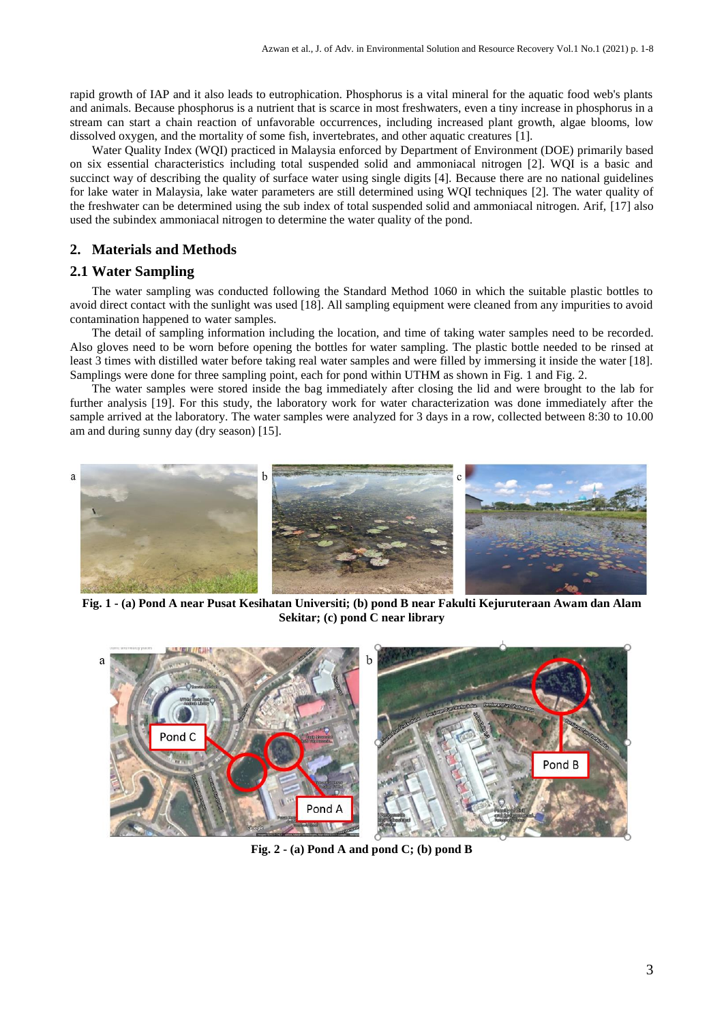rapid growth of IAP and it also leads to eutrophication. Phosphorus is a vital mineral for the aquatic food web's plants and animals. Because phosphorus is a nutrient that is scarce in most freshwaters, even a tiny increase in phosphorus in a stream can start a chain reaction of unfavorable occurrences, including increased plant growth, algae blooms, low dissolved oxygen, and the mortality of some fish, invertebrates, and other aquatic creatures [1].

Water Quality Index (WQI) practiced in Malaysia enforced by Department of Environment (DOE) primarily based on six essential characteristics including total suspended solid and ammoniacal nitrogen [2]. WQI is a basic and succinct way of describing the quality of surface water using single digits [4]. Because there are no national guidelines for lake water in Malaysia, lake water parameters are still determined using WQI techniques [2]. The water quality of the freshwater can be determined using the sub index of total suspended solid and ammoniacal nitrogen. Arif, [17] also used the subindex ammoniacal nitrogen to determine the water quality of the pond.

# **2. Materials and Methods**

# **2.1 Water Sampling**

The water sampling was conducted following the Standard Method 1060 in which the suitable plastic bottles to avoid direct contact with the sunlight was used [18]. All sampling equipment were cleaned from any impurities to avoid contamination happened to water samples.

The detail of sampling information including the location, and time of taking water samples need to be recorded. Also gloves need to be worn before opening the bottles for water sampling. The plastic bottle needed to be rinsed at least 3 times with distilled water before taking real water samples and were filled by immersing it inside the water [18]. Samplings were done for three sampling point, each for pond within UTHM as shown in Fig. 1 and Fig. 2.

The water samples were stored inside the bag immediately after closing the lid and were brought to the lab for further analysis [19]. For this study, the laboratory work for water characterization was done immediately after the sample arrived at the laboratory. The water samples were analyzed for 3 days in a row, collected between 8:30 to 10.00 am and during sunny day (dry season) [15].



**Fig. 1 - (a) Pond A near Pusat Kesihatan Universiti; (b) pond B near Fakulti Kejuruteraan Awam dan Alam Sekitar; (c) pond C near library**



**Fig. 2 - (a) Pond A and pond C; (b) pond B**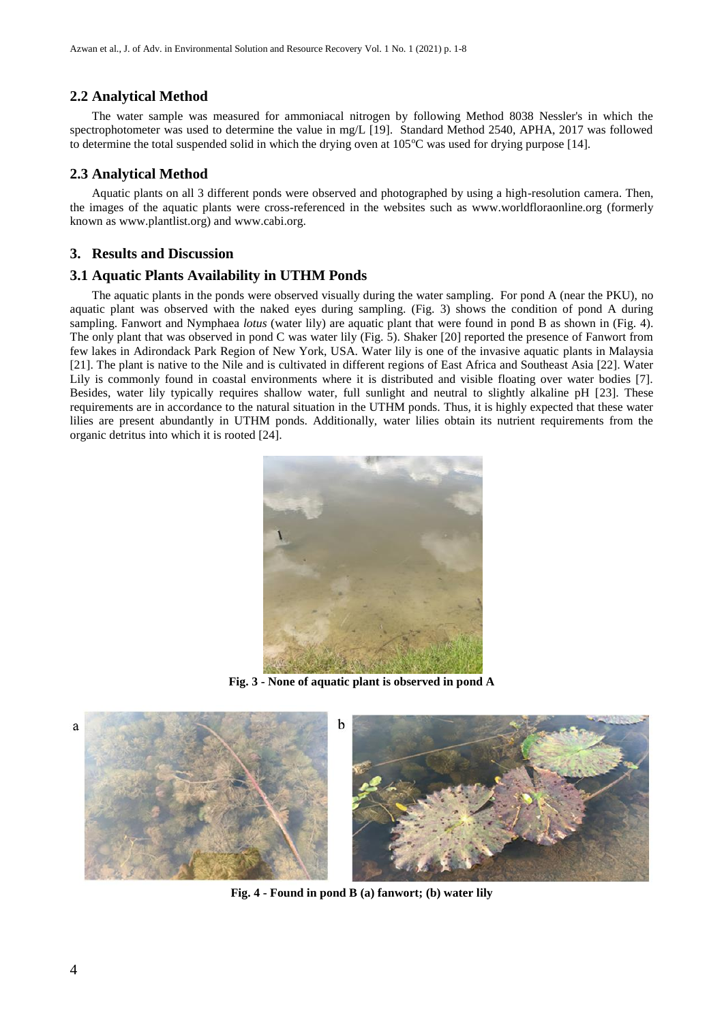# **2.2 Analytical Method**

The water sample was measured for ammoniacal nitrogen by following Method 8038 Nessler's in which the spectrophotometer was used to determine the value in mg/L [19]. Standard Method 2540, APHA, 2017 was followed to determine the total suspended solid in which the drying oven at  $105^{\circ}$ C was used for drying purpose [14].

#### **2.3 Analytical Method**

Aquatic plants on all 3 different ponds were observed and photographed by using a high-resolution camera. Then, the images of the aquatic plants were cross-referenced in the websites such as www.worldfloraonline.org (formerly known as www.plantlist.org) and www.cabi.org.

#### **3. Results and Discussion**

#### **3.1 Aquatic Plants Availability in UTHM Ponds**

The aquatic plants in the ponds were observed visually during the water sampling. For pond A (near the PKU), no aquatic plant was observed with the naked eyes during sampling. (Fig. 3) shows the condition of pond A during sampling. Fanwort and Nymphaea *lotus* (water lily) are aquatic plant that were found in pond B as shown in (Fig. 4). The only plant that was observed in pond C was water lily (Fig. 5). Shaker [20] reported the presence of Fanwort from few lakes in Adirondack Park Region of New York, USA. Water lily is one of the invasive aquatic plants in Malaysia [21]. The plant is native to the Nile and is cultivated in different regions of East Africa and Southeast Asia [22]. Water Lily is commonly found in coastal environments where it is distributed and visible floating over water bodies [7]. Besides, water lily typically requires shallow water, full sunlight and neutral to slightly alkaline pH [23]. These requirements are in accordance to the natural situation in the UTHM ponds. Thus, it is highly expected that these water lilies are present abundantly in UTHM ponds. Additionally, water lilies obtain its nutrient requirements from the organic detritus into which it is rooted [24].



**Fig. 3 - None of aquatic plant is observed in pond A**



**Fig. 4 - Found in pond B (a) fanwort; (b) water lily**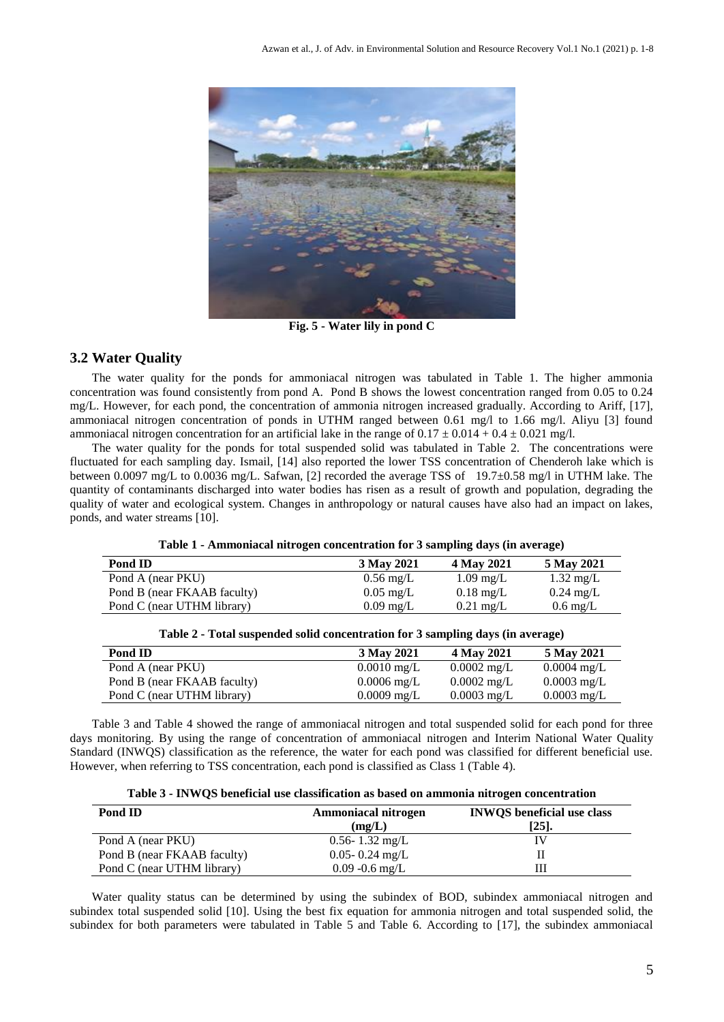

**Fig. 5 - Water lily in pond C**

# **3.2 Water Quality**

The water quality for the ponds for ammoniacal nitrogen was tabulated in Table 1. The higher ammonia concentration was found consistently from pond A. Pond B shows the lowest concentration ranged from 0.05 to 0.24 mg/L. However, for each pond, the concentration of ammonia nitrogen increased gradually. According to Ariff, [17], ammoniacal nitrogen concentration of ponds in UTHM ranged between 0.61 mg/l to 1.66 mg/l. Aliyu [3] found ammoniacal nitrogen concentration for an artificial lake in the range of  $0.17 \pm 0.014 + 0.4 \pm 0.021$  mg/l.

The water quality for the ponds for total suspended solid was tabulated in Table 2. The concentrations were fluctuated for each sampling day. Ismail, [14] also reported the lower TSS concentration of Chenderoh lake which is between 0.0097 mg/L to 0.0036 mg/L. Safwan, [2] recorded the average TSS of 19.7±0.58 mg/l in UTHM lake. The quantity of contaminants discharged into water bodies has risen as a result of growth and population, degrading the quality of water and ecological system. Changes in anthropology or natural causes have also had an impact on lakes, ponds, and water streams [10].

| Pond ID                     | 3 May 2021          | 4 May 2021          | 5 May 2021          |
|-----------------------------|---------------------|---------------------|---------------------|
| Pond A (near PKU)           | $0.56 \text{ mg/L}$ | $1.09 \text{ mg/L}$ | $1.32 \text{ mg/L}$ |
| Pond B (near FKAAB faculty) | $0.05 \text{ mg/L}$ | $0.18 \text{ mg/L}$ | $0.24 \text{ mg/L}$ |
| Pond C (near UTHM library)  | $0.09 \text{ mg/L}$ | $0.21 \text{ mg/L}$ | $0.6 \text{ mg/L}$  |

**Table 1 - Ammoniacal nitrogen concentration for 3 sampling days (in average)**

| Pond ID                     | 3 May 2021            | 4 May 2021            | 5 May 2021            |
|-----------------------------|-----------------------|-----------------------|-----------------------|
| Pond A (near PKU)           | $0.0010 \text{ mg/L}$ | $0.0002 \text{ mg/L}$ | $0.0004 \text{ mg/L}$ |
| Pond B (near FKAAB faculty) | $0.0006 \text{ mg/L}$ | $0.0002 \text{ mg/L}$ | $0.0003 \text{ mg/L}$ |
| Pond C (near UTHM library)  | $0.0009 \text{ mg/L}$ | $0.0003 \text{ mg/L}$ | $0.0003 \text{ mg/L}$ |

**Table 2 - Total suspended solid concentration for 3 sampling days (in average)**

Table 3 and Table 4 showed the range of ammoniacal nitrogen and total suspended solid for each pond for three days monitoring. By using the range of concentration of ammoniacal nitrogen and Interim National Water Quality Standard (INWQS) classification as the reference, the water for each pond was classified for different beneficial use. However, when referring to TSS concentration, each pond is classified as Class 1 (Table 4).

| Table 3 - INWQS beneficial use classification as based on ammonia nitrogen concentration |  |
|------------------------------------------------------------------------------------------|--|
|------------------------------------------------------------------------------------------|--|

| Pond ID                     | Ammoniacal nitrogen<br>(mg/L) | <b>INWQS</b> beneficial use class<br>$[25]$ . |  |
|-----------------------------|-------------------------------|-----------------------------------------------|--|
| Pond A (near PKU)           | $0.56 - 1.32$ mg/L            | ΙV                                            |  |
| Pond B (near FKAAB faculty) | $0.05 - 0.24$ mg/L            | Н                                             |  |
| Pond C (near UTHM library)  | $0.09 - 0.6$ mg/L             | Ш                                             |  |

Water quality status can be determined by using the subindex of BOD, subindex ammoniacal nitrogen and subindex total suspended solid [10]. Using the best fix equation for ammonia nitrogen and total suspended solid, the subindex for both parameters were tabulated in Table 5 and Table 6. According to [17], the subindex ammoniacal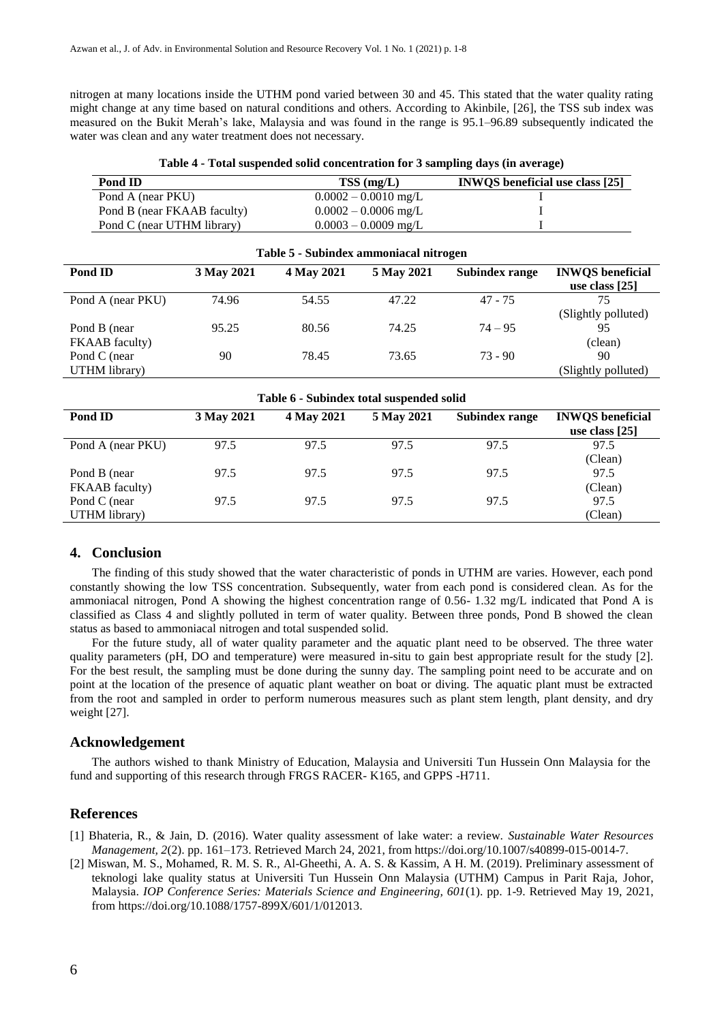nitrogen at many locations inside the UTHM pond varied between 30 and 45. This stated that the water quality rating might change at any time based on natural conditions and others. According to Akinbile, [26], the TSS sub index was measured on the Bukit Merah's lake, Malaysia and was found in the range is 95.1–96.89 subsequently indicated the water was clean and any water treatment does not necessary.

|  | Table 4 - Total suspended solid concentration for 3 sampling days (in average) |  |  |  |
|--|--------------------------------------------------------------------------------|--|--|--|
|--|--------------------------------------------------------------------------------|--|--|--|

| Pond ID                     | $TSS$ (mg/L)           | <b>INWOS</b> beneficial use class [25] |
|-----------------------------|------------------------|----------------------------------------|
| Pond A (near PKU)           | $0.0002 - 0.0010$ mg/L |                                        |
| Pond B (near FKAAB faculty) | $0.0002 - 0.0006$ mg/L |                                        |
| Pond C (near UTHM library)  | $0.0003 - 0.0009$ mg/L |                                        |

| Table 5 - Subindex ammoniacal nitrogen |            |            |            |                |                                             |
|----------------------------------------|------------|------------|------------|----------------|---------------------------------------------|
| Pond ID                                | 3 May 2021 | 4 May 2021 | 5 May 2021 | Subindex range | <b>INWQS</b> beneficial<br>use class $[25]$ |
| Pond A (near PKU)                      | 74.96      | 54.55      | 47.22      | $47 - 75$      | 75<br>(Slightly polluted)                   |
| Pond B (near)<br>FKAAB faculty)        | 95.25      | 80.56      | 74.25      | $74 - 95$      | 95<br>(clean)                               |
| Pond C (near)<br>UTHM library)         | 90         | 78.45      | 73.65      | $73 - 90$      | 90<br>(Slightly polluted)                   |

| Table 6 - Subindex total suspended solid |            |            |            |                       |                                             |
|------------------------------------------|------------|------------|------------|-----------------------|---------------------------------------------|
| Pond ID                                  | 3 May 2021 | 4 May 2021 | 5 May 2021 | <b>Subindex range</b> | <b>INWQS</b> beneficial<br>use class $[25]$ |
| Pond A (near PKU)                        | 97.5       | 97.5       | 97.5       | 97.5                  | 97.5<br>(Clean)                             |
| Pond B (near)<br>FKAAB faculty)          | 97.5       | 97.5       | 97.5       | 97.5                  | 97.5<br>(Clean)                             |
| Pond C (near<br>UTHM library)            | 97.5       | 97.5       | 97.5       | 97.5                  | 97.5<br>(Clean)                             |

#### **4. Conclusion**

The finding of this study showed that the water characteristic of ponds in UTHM are varies. However, each pond constantly showing the low TSS concentration. Subsequently, water from each pond is considered clean. As for the ammoniacal nitrogen, Pond A showing the highest concentration range of 0.56- 1.32 mg/L indicated that Pond A is classified as Class 4 and slightly polluted in term of water quality. Between three ponds, Pond B showed the clean status as based to ammoniacal nitrogen and total suspended solid.

For the future study, all of water quality parameter and the aquatic plant need to be observed. The three water quality parameters (pH, DO and temperature) were measured in-situ to gain best appropriate result for the study [2]. For the best result, the sampling must be done during the sunny day. The sampling point need to be accurate and on point at the location of the presence of aquatic plant weather on boat or diving. The aquatic plant must be extracted from the root and sampled in order to perform numerous measures such as plant stem length, plant density, and dry weight [27].

#### **Acknowledgement**

The authors wished to thank Ministry of Education, Malaysia and Universiti Tun Hussein Onn Malaysia for the fund and supporting of this research through FRGS RACER- K165, and GPPS -H711.

#### **References**

- [1] Bhateria, R., & Jain, D. (2016). Water quality assessment of lake water: a review. *Sustainable Water Resources Management, 2*(2). pp. 161–173. Retrieved March 24, 2021, from https://doi.org/10.1007/s40899-015-0014-7.
- [2] Miswan, M. S., Mohamed, R. M. S. R., Al-Gheethi, A. A. S. & Kassim, A H. M. (2019). Preliminary assessment of teknologi lake quality status at Universiti Tun Hussein Onn Malaysia (UTHM) Campus in Parit Raja, Johor, Malaysia. *IOP Conference Series: Materials Science and Engineering, 601*(1). pp. 1-9. Retrieved May 19, 2021, from https://doi.org/10.1088/1757-899X/601/1/012013.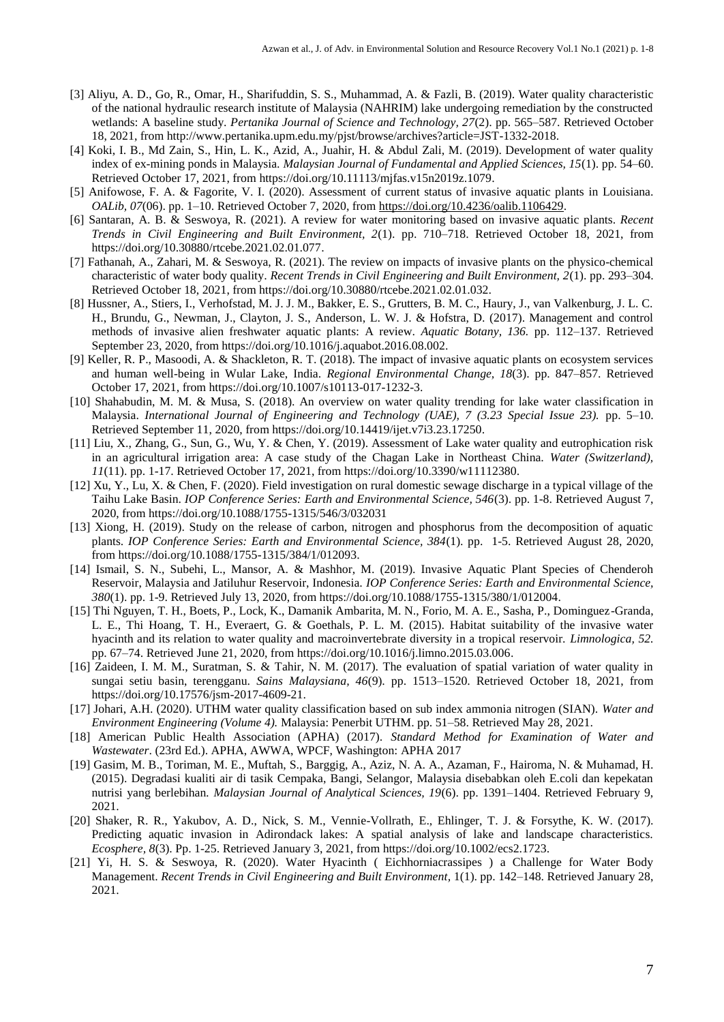- [3] Aliyu, A. D., Go, R., Omar, H., Sharifuddin, S. S., Muhammad, A. & Fazli, B. (2019). Water quality characteristic of the national hydraulic research institute of Malaysia (NAHRIM) lake undergoing remediation by the constructed wetlands: A baseline study. *Pertanika Journal of Science and Technology, 27*(2). pp. 565–587. Retrieved October 18, 2021, from http://www.pertanika.upm.edu.my/pjst/browse/archives?article=JST-1332-2018.
- [4] Koki, I. B., Md Zain, S., Hin, L. K., Azid, A., Juahir, H. & Abdul Zali, M. (2019). Development of water quality index of ex-mining ponds in Malaysia. *Malaysian Journal of Fundamental and Applied Sciences, 15*(1). pp. 54–60. Retrieved October 17, 2021, from https://doi.org/10.11113/mjfas.v15n2019z.1079.
- [5] Anifowose, F. A. & Fagorite, V. I. (2020). Assessment of current status of invasive aquatic plants in Louisiana. *OALib, 07*(06). pp. 1–10. Retrieved October 7, 2020, from [https://doi.org/10.4236/oalib.1106429.](https://doi.org/10.4236/oalib.1106429)
- [6] Santaran, A. B. & Seswoya, R. (2021). A review for water monitoring based on invasive aquatic plants. *Recent Trends in Civil Engineering and Built Environment, 2*(1). pp. 710–718. Retrieved October 18, 2021, from https://doi.org/10.30880/rtcebe.2021.02.01.077.
- [7] Fathanah, A., Zahari, M. & Seswoya, R. (2021). The review on impacts of invasive plants on the physico-chemical characteristic of water body quality. *Recent Trends in Civil Engineering and Built Environment, 2*(1). pp. 293–304. Retrieved October 18, 2021, from https://doi.org/10.30880/rtcebe.2021.02.01.032.
- [8] Hussner, A., Stiers, I., Verhofstad, M. J. J. M., Bakker, E. S., Grutters, B. M. C., Haury, J., van Valkenburg, J. L. C. H., Brundu, G., Newman, J., Clayton, J. S., Anderson, L. W. J. & Hofstra, D. (2017). Management and control methods of invasive alien freshwater aquatic plants: A review. *Aquatic Botany, 136.* pp. 112–137. Retrieved September 23, 2020, from https://doi.org/10.1016/j.aquabot.2016.08.002.
- [9] Keller, R. P., Masoodi, A. & Shackleton, R. T. (2018). The impact of invasive aquatic plants on ecosystem services and human well-being in Wular Lake, India. *Regional Environmental Change, 18*(3). pp. 847–857. Retrieved October 17, 2021, from https://doi.org/10.1007/s10113-017-1232-3.
- [10] Shahabudin, M. M. & Musa, S. (2018). An overview on water quality trending for lake water classification in Malaysia. *International Journal of Engineering and Technology (UAE), 7 (3.23 Special Issue 23).* pp. 5–10. Retrieved September 11, 2020, from https://doi.org/10.14419/ijet.v7i3.23.17250.
- [11] Liu, X., Zhang, G., Sun, G., Wu, Y. & Chen, Y. (2019). Assessment of Lake water quality and eutrophication risk in an agricultural irrigation area: A case study of the Chagan Lake in Northeast China. *Water (Switzerland), 11*(11). pp. 1-17. Retrieved October 17, 2021, from https://doi.org/10.3390/w11112380.
- [12] Xu, Y., Lu, X. & Chen, F. (2020). Field investigation on rural domestic sewage discharge in a typical village of the Taihu Lake Basin. *IOP Conference Series: Earth and Environmental Science, 546*(3). pp. 1-8. Retrieved August 7, 2020, from https://doi.org/10.1088/1755-1315/546/3/032031
- [13] Xiong, H. (2019). Study on the release of carbon, nitrogen and phosphorus from the decomposition of aquatic plants. *IOP Conference Series: Earth and Environmental Science, 384*(1). pp. 1-5. Retrieved August 28, 2020, from https://doi.org/10.1088/1755-1315/384/1/012093.
- [14] Ismail, S. N., Subehi, L., Mansor, A. & Mashhor, M. (2019). Invasive Aquatic Plant Species of Chenderoh Reservoir, Malaysia and Jatiluhur Reservoir, Indonesia. *IOP Conference Series: Earth and Environmental Science, 380*(1). pp. 1-9. Retrieved July 13, 2020, from https://doi.org/10.1088/1755-1315/380/1/012004.
- [15] Thi Nguyen, T. H., Boets, P., Lock, K., Damanik Ambarita, M. N., Forio, M. A. E., Sasha, P., Dominguez-Granda, L. E., Thi Hoang, T. H., Everaert, G. & Goethals, P. L. M. (2015). Habitat suitability of the invasive water hyacinth and its relation to water quality and macroinvertebrate diversity in a tropical reservoir. *Limnologica, 52.* pp. 67–74. Retrieved June 21, 2020, from https://doi.org/10.1016/j.limno.2015.03.006.
- [16] Zaideen, I. M. M., Suratman, S. & Tahir, N. M. (2017). The evaluation of spatial variation of water quality in sungai setiu basin, terengganu. *Sains Malaysiana, 46*(9). pp. 1513–1520. Retrieved October 18, 2021, from https://doi.org/10.17576/jsm-2017-4609-21.
- [17] Johari, A.H. (2020). UTHM water quality classification based on sub index ammonia nitrogen (SIAN). *Water and Environment Engineering (Volume 4).* Malaysia: Penerbit UTHM. pp. 51–58. Retrieved May 28, 2021.
- [18] American Public Health Association (APHA) (2017). *Standard Method for Examination of Water and Wastewater*. (23rd Ed.). APHA, AWWA, WPCF, Washington: APHA 2017
- [19] Gasim, M. B., Toriman, M. E., Muftah, S., Barggig, A., Aziz, N. A. A., Azaman, F., Hairoma, N. & Muhamad, H. (2015). Degradasi kualiti air di tasik Cempaka, Bangi, Selangor, Malaysia disebabkan oleh E.coli dan kepekatan nutrisi yang berlebihan*. Malaysian Journal of Analytical Sciences, 19*(6). pp. 1391–1404. Retrieved February 9, 2021.
- [20] Shaker, R. R., Yakubov, A. D., Nick, S. M., Vennie-Vollrath, E., Ehlinger, T. J. & Forsythe, K. W. (2017). Predicting aquatic invasion in Adirondack lakes: A spatial analysis of lake and landscape characteristics. *Ecosphere, 8*(3). Pp. 1-25. Retrieved January 3, 2021, from https://doi.org/10.1002/ecs2.1723.
- [21] Yi, H. S. & Seswoya, R. (2020). Water Hyacinth ( Eichhorniacrassipes ) a Challenge for Water Body Management. *Recent Trends in Civil Engineering and Built Environment,* 1(1). pp. 142–148. Retrieved January 28, 2021.